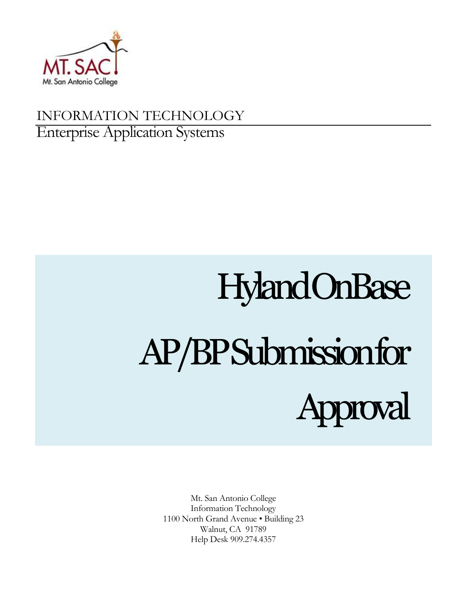

# INFORMATION TECHNOLOGY Enterprise Application Systems

# Hyland OnBase AP/BP Submission for proval

Mt. San Antonio College Information Technology 1100 North Grand Avenue • Building 23 Walnut, CA 91789 Help Desk 909.274.4357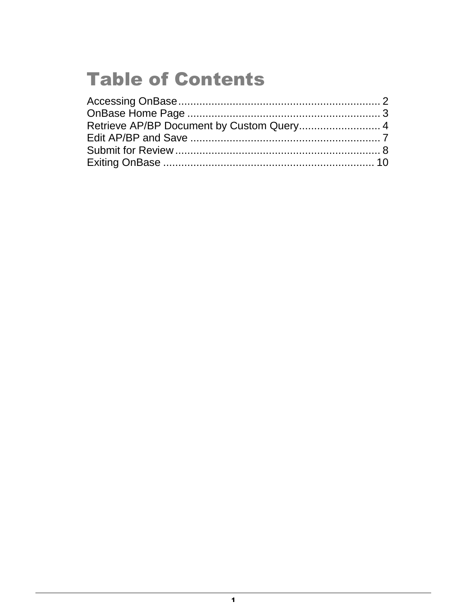# **Table of Contents**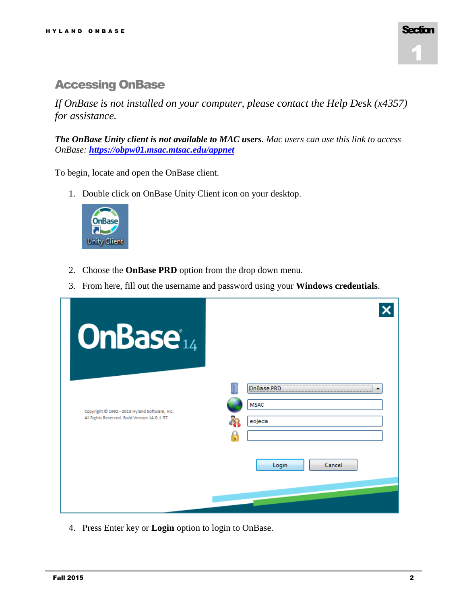

# <span id="page-2-0"></span>Accessing OnBase

*If OnBase is not installed on your computer, please contact the Help Desk (x4357) for assistance.*

*The OnBase Unity client is not available to MAC users. Mac users can use this link to access OnBase: <https://obpw01.msac.mtsac.edu/appnet>*

To begin, locate and open the OnBase client.

1. Double click on OnBase Unity Client icon on your desktop.



- 2. Choose the **OnBase PRD** option from the drop down menu.
- 3. From here, fill out the username and password using your **Windows credentials**.

| <b>OnBase</b> <sup>14</sup>                                                                   |                       |                 |
|-----------------------------------------------------------------------------------------------|-----------------------|-----------------|
| Copyright @ 1992 - 2015 Hyland Software, Inc.<br>All Rights Reserved. Build Version 14.0.1.97 | <b>MSAC</b><br>eojeda |                 |
|                                                                                               |                       | Login<br>Cancel |

4. Press Enter key or **Login** option to login to OnBase.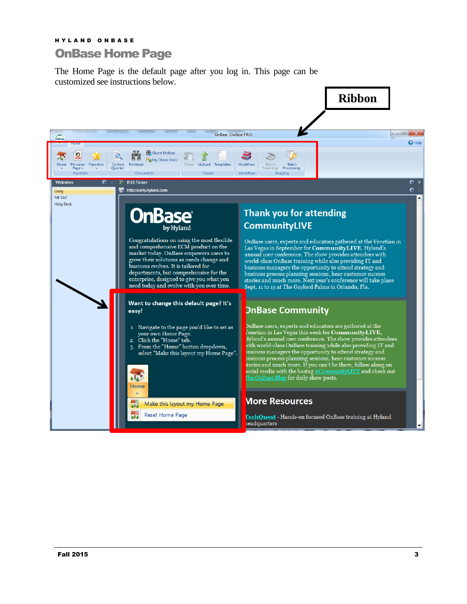# <span id="page-3-0"></span>H Y L A N D O N B A S E OnBase Home Page

The Home Page is the default page after you log in. This page can be customized see instructions below.

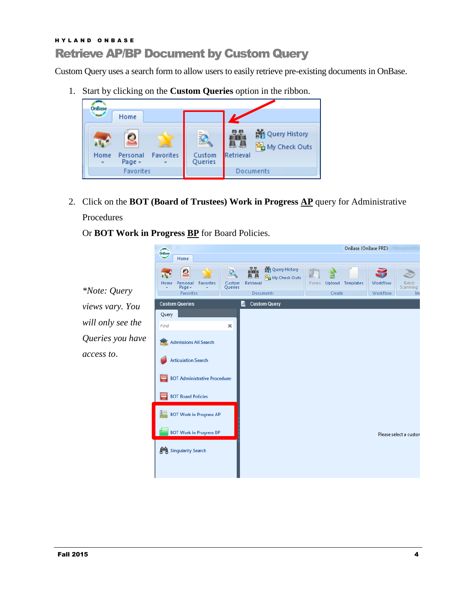# <span id="page-4-0"></span>H Y L A N D O N B A S E Retrieve AP/BP Document by Custom Query

Custom Query uses a search form to allow users to easily retrieve pre-existing documents in OnBase.

1. Start by clicking on the **Custom Queries** option in the ribbon.



2. Click on the **BOT (Board of Trustees) Work in Progress AP** query for Administrative Procedures

Or **BOT Work in Progress BP** for Board Policies.

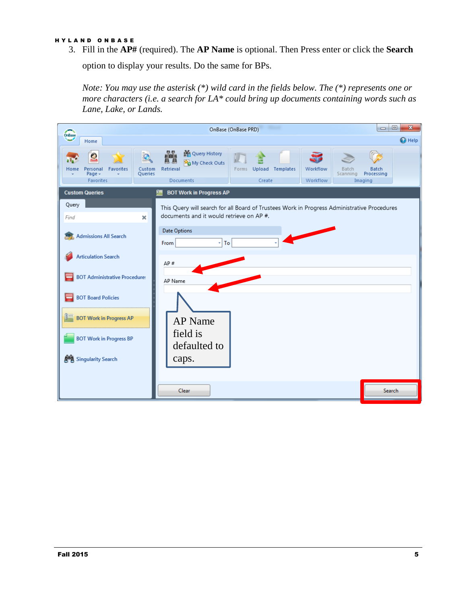#### H Y L A N D O N B A S E

3. Fill in the **AP#** (required). The **AP Name** is optional. Then Press enter or click the **Search** 

option to display your results. Do the same for BPs.

*Note: You may use the asterisk (\*) wild card in the fields below. The (\*) represents one or more characters (i.e. a search for LA\* could bring up documents containing words such as Lane, Lake, or Lands.*

| OnBase                                                                           | OnBase (OnBase PRD)                                                                                                                                       | $\mathbf{x}$<br>▣<br>$\blacksquare$   |
|----------------------------------------------------------------------------------|-----------------------------------------------------------------------------------------------------------------------------------------------------------|---------------------------------------|
| Home                                                                             |                                                                                                                                                           | <sup>O</sup> Help                     |
| <b>Favorites</b><br>Custom<br>Personal<br>Home<br>Queries<br>Page +<br>Favorites | <b>No</b> Query History<br>見息<br>My Check Outs<br>Workflow<br>Retrieval<br>Forms Upload Templates<br>Batch<br>Scanning<br>Documents<br>Workflow<br>Create | <b>Batch</b><br>Processing<br>Imaging |
| <b>Custom Queries</b>                                                            | <b>BOT Work in Progress AP</b>                                                                                                                            |                                       |
| Query<br>Find<br>$\pmb{\times}$                                                  | This Query will search for all Board of Trustees Work in Progress Administrative Procedures<br>documents and it would retrieve on AP #.                   |                                       |
| <b>Admissions All Search</b>                                                     | <b>Date Options</b><br>$\overline{z}$ To<br>From                                                                                                          |                                       |
| <b>Articulation Search</b><br><b>BOT Administrative Procedure:</b>               | AP#<br>AP Name                                                                                                                                            |                                       |
| <b>BOT Board Policies</b><br><b>BOT Work in Progress AP</b>                      |                                                                                                                                                           |                                       |
| <b>BOT Work in Progress BP</b><br><b>Singularity Search</b>                      | <b>AP</b> Name<br>field is<br>defaulted to<br>caps.                                                                                                       |                                       |
|                                                                                  | Clear                                                                                                                                                     | <b>Search</b>                         |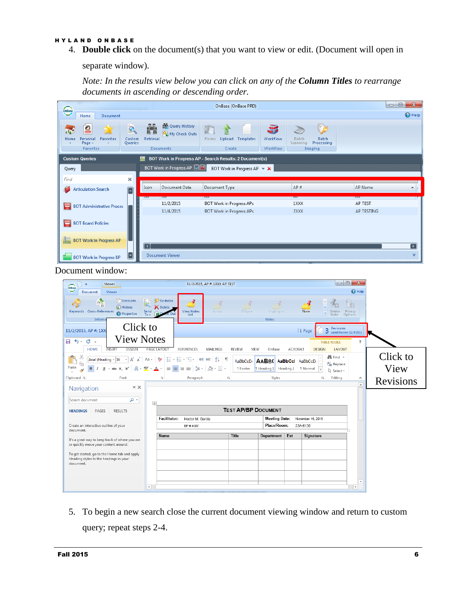#### H Y L A N D O N B A S E

4. **Double click** on the document(s) that you want to view or edit. (Document will open in

separate window).

*Note: In the results view below you can click on any of the Column Titles to rearrange documents in ascending or descending order.*



#### Document window:

| Viewer<br>Ξ<br>OnBase                                                                                               |                                                              |                                                                                                            | 11/2/2015, AP #: 1XXX AP TEST |                                   |                                                 |         |                   | $\Box$ e                                                          | $\mathbf{x}$                  |                  |
|---------------------------------------------------------------------------------------------------------------------|--------------------------------------------------------------|------------------------------------------------------------------------------------------------------------|-------------------------------|-----------------------------------|-------------------------------------------------|---------|-------------------|-------------------------------------------------------------------|-------------------------------|------------------|
| Document<br>Viewer                                                                                                  |                                                              |                                                                                                            |                               |                                   |                                                 |         |                   |                                                                   | <b>O</b> Help                 |                  |
| Revisions<br>A<br>$_{\rm B}$<br><sup>9</sup> History<br>Keywords Cross-References<br><b>O</b> Properties<br>Informa | Re-Index<br>F<br><b>X</b> Delete<br>Send $_{\rm To}$ .<br>e۶ | <b>View Notes</b><br>List                                                                                  | - F<br>Arrow                  | Ellipse                           | Highlight<br><b>Notes</b>                       |         | Note              | Delete<br>Note                                                    | n<br>Ė.<br>Privacy<br>Options |                  |
| Click to<br>11/2/2015, AP #: 1XX                                                                                    |                                                              |                                                                                                            |                               |                                   |                                                 |         | 11 Page           | Revisions<br>3 Revisions 11/6/2015                                |                               |                  |
| <b>View Notes</b><br>$\Box$ 5 $\cdot$ 0 $\cdot$<br><b>HOME</b><br>INSERT<br>DESIGN                                  | PAGE LAYOU                                                   | <b>REFERENCES</b>                                                                                          | MAILINGS                      | <b>REVIEW</b>                     | VIEW<br>OnBase                                  | ACROBAT |                   | <b>TABLE TOOLS</b><br><b>DESIGN</b><br>LAYOUT                     | $\overline{\phantom{a}}$      |                  |
| $A^{\star}$ $A^{\star}$ Aa $\star$<br>Arial (Heading ~ 16<br>Paste<br>$U - abc X, X^2$<br>$B$ $I$                   | <b>Age</b><br>$A - Y - A -$                                  | 日・日・紀・   韓 輔   剑   ¶<br>$\equiv \equiv \equiv \equiv \vert \pm \cdot \vert \, \Delta \cdot \boxplus \cdot$ |                               | <b>AaBbCcD</b><br><b>T</b> Footer | AABB( AaBbCcl AaBbCcDo<br>T Heading 1 Heading 2 |         | <b>1</b> Normal   | <b>A</b> Find ▼<br>ab Replace<br>$\vert \downarrow$<br>ि Select र |                               | Click to<br>View |
| Clipboard <sub>5</sub><br>Font                                                                                      | $\overline{\Gamma_{\rm M}}$ .                                | Paragraph                                                                                                  | $\overline{\mathbb{F}_2}$     |                                   | Styles                                          |         |                   | Гý.<br>Editing                                                    | ×.                            | Revisions        |
| $\mathbb{R} \times$<br>Navigation<br>- م<br>Search document                                                         | $\overline{+}$                                               |                                                                                                            |                               |                                   |                                                 |         |                   |                                                                   | ◚                             |                  |
| <b>HEADINGS</b><br>PAGES<br><b>RESULTS</b>                                                                          |                                                              |                                                                                                            |                               |                                   | <b>TEST AP/BP DOCUMENT</b>                      |         |                   |                                                                   |                               |                  |
|                                                                                                                     | Facilitator:                                                 | Hector M. Garcia                                                                                           |                               |                                   | <b>Meeting Date:</b>                            |         | November 16, 2015 |                                                                   |                               |                  |
| Create an interactive outline of your<br>document.                                                                  |                                                              | BP#4587                                                                                                    |                               |                                   | Place/Room:                                     |         | 23A-6130          |                                                                   |                               |                  |
| It's a great way to keep track of where you are                                                                     | Name                                                         |                                                                                                            |                               | Title                             | Department                                      | Ext     | Signature         |                                                                   |                               |                  |
| or quickly move your content around.                                                                                |                                                              |                                                                                                            |                               |                                   |                                                 |         |                   |                                                                   |                               |                  |
| To get started, go to the Home tab and apply<br>Heading styles to the headings in your<br>document.                 |                                                              |                                                                                                            |                               |                                   |                                                 |         |                   |                                                                   |                               |                  |
|                                                                                                                     |                                                              |                                                                                                            |                               |                                   |                                                 |         |                   |                                                                   | $\overline{\phantom{a}}$      |                  |
|                                                                                                                     | $\left  \cdot \right $                                       |                                                                                                            |                               |                                   |                                                 |         |                   |                                                                   | $\,$                          |                  |

5. To begin a new search close the current document viewing window and return to custom query; repeat steps 2-4.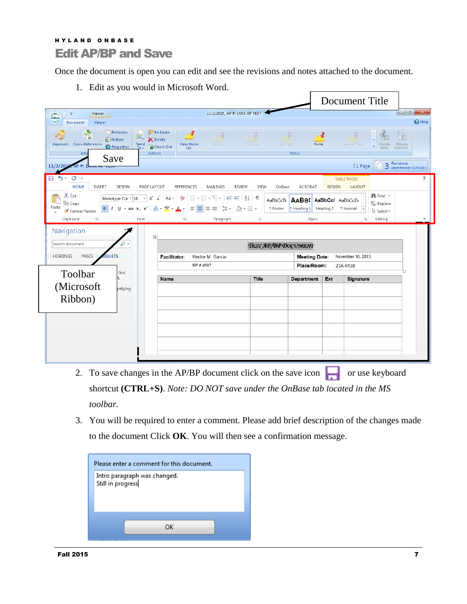### <span id="page-7-0"></span>H Y L A N D O N B A S E Edit AP/BP and Save

Once the document is open you can edit and see the revisions and notes attached to the document.

1. Edit as you would in Microsoft Word.

|                                                          |                                                                                                               |                                                                                                                                                                                                                                                                                                                                                                                                                                                                     |                               |                                                               |                                                           |               | Document Title                                   |                                                |                                            |                               |
|----------------------------------------------------------|---------------------------------------------------------------------------------------------------------------|---------------------------------------------------------------------------------------------------------------------------------------------------------------------------------------------------------------------------------------------------------------------------------------------------------------------------------------------------------------------------------------------------------------------------------------------------------------------|-------------------------------|---------------------------------------------------------------|-----------------------------------------------------------|---------------|--------------------------------------------------|------------------------------------------------|--------------------------------------------|-------------------------------|
| Viewer<br>$\overline{\bullet}$<br>OnBase                 |                                                                                                               |                                                                                                                                                                                                                                                                                                                                                                                                                                                                     | 11/2/2015, AP #: 1XXX AP TEST |                                                               |                                                           |               |                                                  |                                                |                                            |                               |
| Document<br>Viewer                                       |                                                                                                               |                                                                                                                                                                                                                                                                                                                                                                                                                                                                     |                               |                                                               |                                                           |               |                                                  |                                                |                                            | <sup>4</sup> Help             |
| A <sub>B</sub><br>Keywords Cross-References<br>Info      | Revisions<br>F<br><sup>4</sup> History<br>Send<br>To $\overline{x}$<br><b>O</b> Properties<br>Actions<br>Save | Re-Index<br>∼≰<br>Delete<br><b>View Notes</b><br>Check Out<br>List                                                                                                                                                                                                                                                                                                                                                                                                  | $\sim$ 8%<br>Arrow            | $\sim d$<br>Ellipse<br>Highlight                              | $-3$<br>Note<br>Notes                                     |               | Overlap Text                                     | Delete<br>$=$<br>Note                          | $\frac{1}{\sqrt{2}}$<br>Privacy<br>Options |                               |
| 11/2/2015                                                |                                                                                                               |                                                                                                                                                                                                                                                                                                                                                                                                                                                                     |                               |                                                               |                                                           |               | 1 Page                                           | 3                                              | Revisions<br>Latest Revision: 11/6/2015    |                               |
| $5 - 0 =$<br>н<br><b>HOME</b><br>INSERT<br>of Cut<br>وكو | DESIGN<br>PAGE LAYOUT                                                                                         | <b>REFERENCES</b><br>Monotype Cor $\mathbf{v}$ $\begin{bmatrix} 16 & \mathbf{v} \end{bmatrix}$ $\mathbf{A}^*$ $\mathbf{A}^*$ $\begin{bmatrix} \mathbf{Aa} & \mathbf{v} \end{bmatrix}$ $\mathbf{A}^*$ $\mathbf{A}^*$ $\begin{bmatrix} \frac{1}{2} & \frac{1}{2} & \frac{1}{2} & \frac{1}{2} & \frac{1}{2} & \frac{1}{2} & \frac{1}{2} & \frac{1}{2} & \frac{1}{2} & \frac{1}{2} & \frac{1}{2} & \frac{1}{2$                                                          | REVIEW<br>MAILINGS            | VIEW<br>OnBase                                                | ACROBAT                                                   | <b>DESIGN</b> | <b>TABLE TOOLS</b><br>LAYOUT                     | <b>A</b> Find ▼                                |                                            | 2                             |
| ling Copy<br>Paste<br>Format Painter<br>Clipboard<br>Fs. | Font                                                                                                          | $\mathsf{B} \left[ \begin{array}{c c} I & \underline{\mathsf{U}} & \star \end{array} \right. \ast \mathsf{a} \mathsf{b} \varepsilon \mathsf{X}_2 \mathsf{X}^2 \left[ \begin{array}{c c} \mathsf{A} & \star \end{array} \right] \mathbb{Z} \ast \mathsf{A} \star \left[ \begin{array}{c c} \Xi & \Xi \end{array} \right] \equiv \Xi \equiv \left[ \begin{array}{c c} \Xi & \star \end{array} \right] \mathbb{Z} \star \boxplus \star$<br>$\overline{\mathbb{F}_M}$ . | Paragraph                     | <b>AaBbCcD</b><br><b>T</b> Footer<br>$\overline{\Gamma_{20}}$ | AABB( AaBbCcl AaBbCcDo<br>T Heading 1 Heading 2<br>Styles |               | <b>1</b> Normal<br>⋤<br>$\overline{\Gamma_{20}}$ | ab Replace<br>ि Select <sub>*</sub><br>Editing |                                            | $\boldsymbol{\mathord{\sim}}$ |
| Navigation                                               | $\overline{+}$                                                                                                |                                                                                                                                                                                                                                                                                                                                                                                                                                                                     |                               |                                                               |                                                           |               |                                                  |                                                |                                            |                               |
| Search document                                          |                                                                                                               |                                                                                                                                                                                                                                                                                                                                                                                                                                                                     |                               | TEST AP/BP DOCUMENT                                           |                                                           |               |                                                  |                                                |                                            |                               |
| PAGES<br><b>HEADINGS</b>                                 | <b>ESULTS</b>                                                                                                 | Facilitator:                                                                                                                                                                                                                                                                                                                                                                                                                                                        | Hector M. Garcia              |                                                               | <b>Meeting Date:</b>                                      |               | November 16, 2015                                |                                                |                                            |                               |
|                                                          | find                                                                                                          | BP #4587                                                                                                                                                                                                                                                                                                                                                                                                                                                            |                               |                                                               | Place/Room:                                               |               | 23A-6130                                         |                                                |                                            |                               |
| Toolbar                                                  |                                                                                                               | Name                                                                                                                                                                                                                                                                                                                                                                                                                                                                |                               | <b>Title</b>                                                  | Department                                                | Ext           | Signature                                        |                                                |                                            |                               |
| (Microsoft                                               | nifying                                                                                                       |                                                                                                                                                                                                                                                                                                                                                                                                                                                                     |                               |                                                               |                                                           |               |                                                  |                                                |                                            |                               |
| Ribbon)                                                  |                                                                                                               |                                                                                                                                                                                                                                                                                                                                                                                                                                                                     |                               |                                                               |                                                           |               |                                                  |                                                |                                            |                               |
|                                                          |                                                                                                               |                                                                                                                                                                                                                                                                                                                                                                                                                                                                     |                               |                                                               |                                                           |               |                                                  |                                                |                                            |                               |
|                                                          |                                                                                                               |                                                                                                                                                                                                                                                                                                                                                                                                                                                                     |                               |                                                               |                                                           |               |                                                  |                                                |                                            |                               |
|                                                          |                                                                                                               |                                                                                                                                                                                                                                                                                                                                                                                                                                                                     |                               |                                                               |                                                           |               |                                                  |                                                |                                            |                               |
|                                                          |                                                                                                               |                                                                                                                                                                                                                                                                                                                                                                                                                                                                     |                               |                                                               |                                                           |               |                                                  |                                                |                                            |                               |
|                                                          |                                                                                                               |                                                                                                                                                                                                                                                                                                                                                                                                                                                                     |                               |                                                               |                                                           |               |                                                  |                                                |                                            |                               |

- 2. To save changes in the AP/BP document click on the save icon  $\Box$  or use keyboard shortcut **(CTRL+S)**. *Note: DO NOT save under the OnBase tab located in the MS toolbar.*
- 3. You will be required to enter a comment. Please add brief description of the changes made to the document Click **OK**. You will then see a confirmation message.

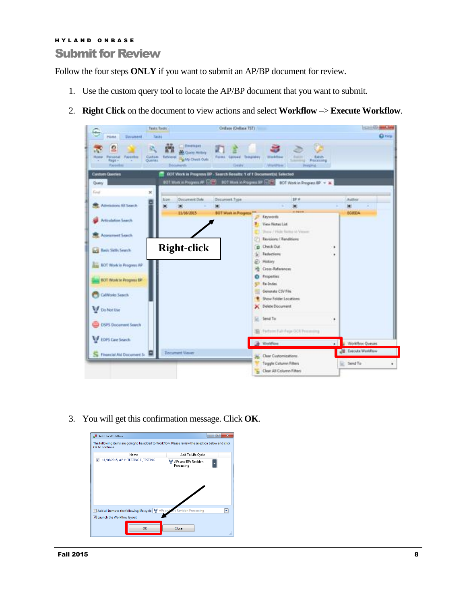# <span id="page-8-0"></span>H Y L A N D O N B A S E Submit for Review

Follow the four steps **ONLY** if you want to submit an AP/BP document for review.

- 1. Use the custom query tool to locate the AP/BP document that you want to submit.
- 2. **Right Click** on the document to view actions and select **Workflow** –> **Execute Workflow**.



3. You will get this confirmation message. Click **OK**.

| <b>图 Add To Workflow</b>                                                                                             | $\mathbf x$<br>$\Box$<br>$\equiv$  |
|----------------------------------------------------------------------------------------------------------------------|------------------------------------|
| The following items are going to be added to Workflow. Please review the selection below and click<br>OK to continue |                                    |
| Name                                                                                                                 | Add To Life Cycle                  |
| $\overline{\mathbf{v}}$<br>11/16/2015, AP #: TESTING E TESTING                                                       | APs and BPs Revision<br>Processing |
| Add all items to the following life cycle<br>H<br>V Launch the Workflow layout                                       | APs and Wes Revision Processing    |
| OK                                                                                                                   | Close<br>æ                         |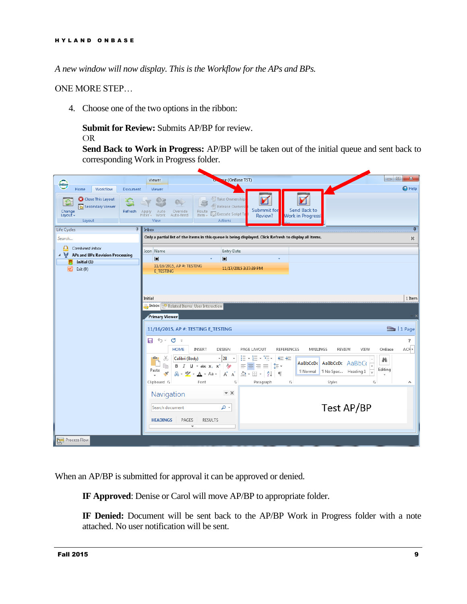*A new window will now display. This is the Workflow for the APs and BPs.*

ONE MORE STEP…

4. Choose one of the two options in the ribbon:

**Submit for Review:** Submits AP/BP for review.

OR

**Send Back to Work in Progress:** AP/BP will be taken out of the initial queue and sent back to corresponding Work in Progress folder.



When an AP/BP is submitted for approval it can be approved or denied.

**IF Approved**: Denise or Carol will move AP/BP to appropriate folder.

**IF Denied:** Document will be sent back to the AP/BP Work in Progress folder with a note attached. No user notification will be sent.